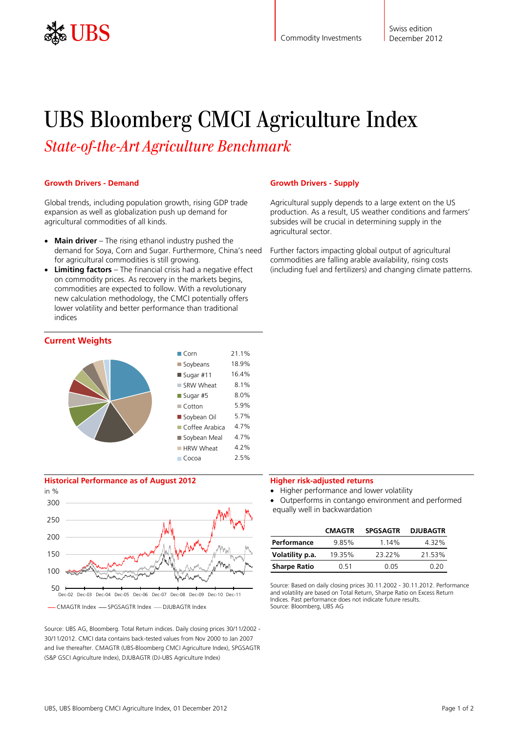

# UBS Bloomberg CMCI Agriculture Index

*State-of-the-Art Agriculture Benchmark* 

### **Growth Drivers - Demand**

Global trends, including population growth, rising GDP trade expansion as well as globalization push up demand for agricultural commodities of all kinds.

- **Main driver** The rising ethanol industry pushed the demand for Soya, Corn and Sugar. Furthermore, China's need for agricultural commodities is still growing.
- **Limiting factors** The financial crisis had a negative effect on commodity prices. As recovery in the markets begins, commodities are expected to follow. With a revolutionary new calculation methodology, the CMCI potentially offers lower volatility and better performance than traditional indices



# **Historical Performance as of August 2012**



- CMAGTR Index - SPGSAGTR Index - DJUBAGTR Index

Source: UBS AG, Bloomberg. Total Return indices. Daily closing prices 30/11/2002 - 30/11/2012. CMCI data contains back-tested values from Nov 2000 to Jan 2007 and live thereafter. CMAGTR (UBS-Bloomberg CMCI Agriculture Index), SPGSAGTR (S&P GSCI Agriculture Index), DJUBAGTR (DJ-UBS Agriculture Index)

### **Growth Drivers - Supply**

Agricultural supply depends to a large extent on the US production. As a result, US weather conditions and farmers' subsides will be crucial in determining supply in the agricultural sector.

Further factors impacting global output of agricultural commodities are falling arable availability, rising costs (including fuel and fertilizers) and changing climate patterns.

#### **Higher risk-adjusted returns**

Higher performance and lower volatility

 Outperforms in contango environment and performed equally well in backwardation

|                     | <b>CMAGTR</b> | <b>SPGSAGTR</b> | <b>DJUBAGTR</b> |
|---------------------|---------------|-----------------|-----------------|
| Performance         | 9.85%         | 1.14%           | 4.32%           |
| Volatility p.a.     | 19.35%        | 2322%           | 21.53%          |
| <b>Sharpe Ratio</b> | O 51          | N 05            | በ 2በ            |

Source: Based on daily closing prices 30.11.2002 - 30.11.2012. Performance and volatility are based on Total Return, Sharpe Ratio on Excess Return Indices. Past performance does not indicate future results. Source: Bloomberg, UBS AG